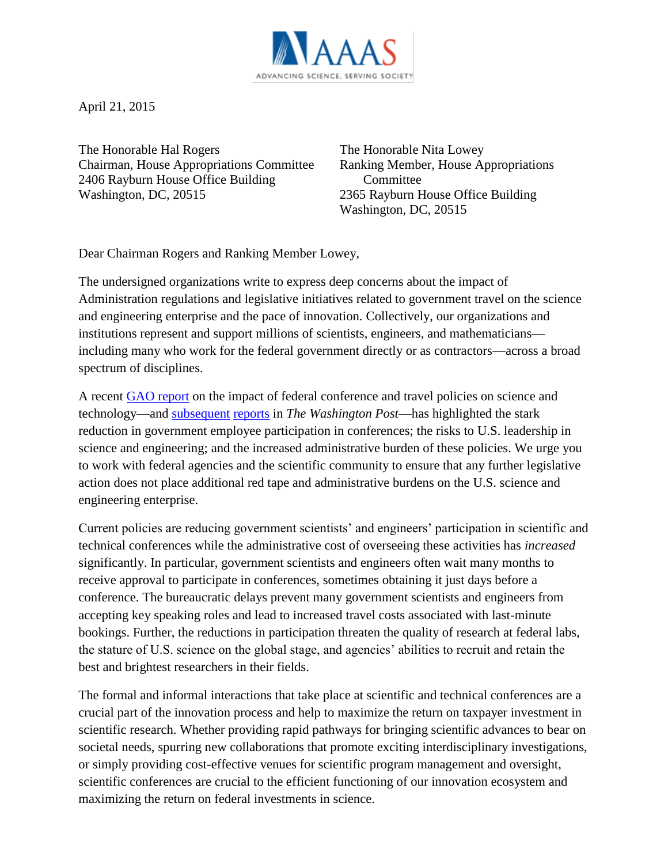

April 21, 2015

The Honorable Hal Rogers Chairman, House Appropriations Committee 2406 Rayburn House Office Building Washington, DC, 20515

The Honorable Nita Lowey Ranking Member, House Appropriations Committee 2365 Rayburn House Office Building Washington, DC, 20515

Dear Chairman Rogers and Ranking Member Lowey,

The undersigned organizations write to express deep concerns about the impact of Administration regulations and legislative initiatives related to government travel on the science and engineering enterprise and the pace of innovation. Collectively, our organizations and institutions represent and support millions of scientists, engineers, and mathematicians including many who work for the federal government directly or as contractors—across a broad spectrum of disciplines.

A recent [GAO report](http://www.gao.gov/assets/670/668845.pdf) on the impact of federal conference and travel policies on science and technology—and [subsequent](http://www.washingtonpost.com/blogs/federal-eye/wp/2015/03/23/consequences-of-the-federal-travel-clampdown-more-costs/) [reports](http://www.washingtonpost.com/blogs/federal-eye/wp/2015/03/25/the-white-house-asked-federal-scientists-how-bad-its-crackdown-on-travel-is-the-answer-bad/) in *The Washington Post*—has highlighted the stark reduction in government employee participation in conferences; the risks to U.S. leadership in science and engineering; and the increased administrative burden of these policies. We urge you to work with federal agencies and the scientific community to ensure that any further legislative action does not place additional red tape and administrative burdens on the U.S. science and engineering enterprise.

Current policies are reducing government scientists' and engineers' participation in scientific and technical conferences while the administrative cost of overseeing these activities has *increased* significantly. In particular, government scientists and engineers often wait many months to receive approval to participate in conferences, sometimes obtaining it just days before a conference. The bureaucratic delays prevent many government scientists and engineers from accepting key speaking roles and lead to increased travel costs associated with last-minute bookings. Further, the reductions in participation threaten the quality of research at federal labs, the stature of U.S. science on the global stage, and agencies' abilities to recruit and retain the best and brightest researchers in their fields.

The formal and informal interactions that take place at scientific and technical conferences are a crucial part of the innovation process and help to maximize the return on taxpayer investment in scientific research. Whether providing rapid pathways for bringing scientific advances to bear on societal needs, spurring new collaborations that promote exciting interdisciplinary investigations, or simply providing cost-effective venues for scientific program management and oversight, scientific conferences are crucial to the efficient functioning of our innovation ecosystem and maximizing the return on federal investments in science.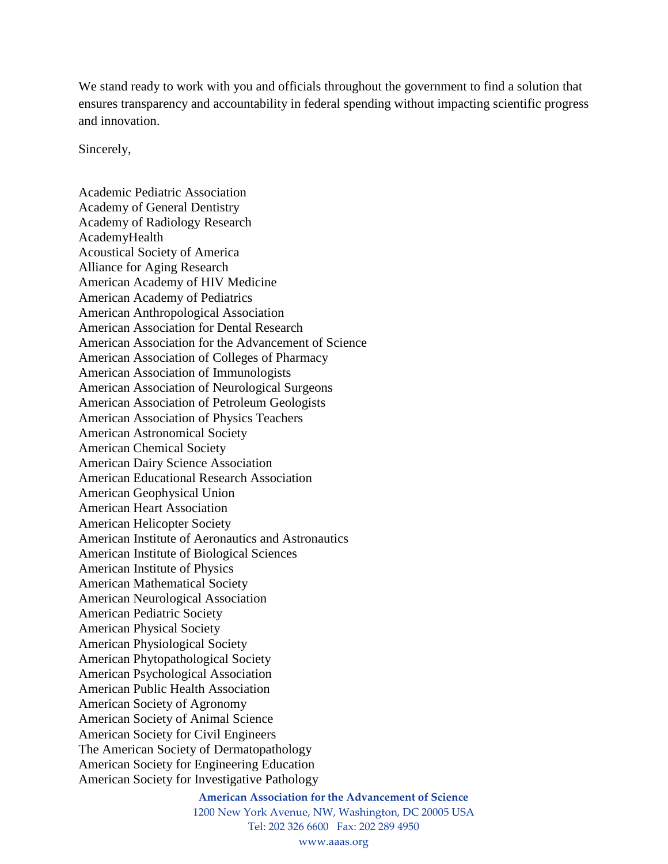We stand ready to work with you and officials throughout the government to find a solution that ensures transparency and accountability in federal spending without impacting scientific progress and innovation.

Sincerely,

Academic Pediatric Association Academy of General Dentistry Academy of Radiology Research AcademyHealth Acoustical Society of America Alliance for Aging Research American Academy of HIV Medicine American Academy of Pediatrics American Anthropological Association American Association for Dental Research American Association for the Advancement of Science American Association of Colleges of Pharmacy American Association of Immunologists American Association of Neurological Surgeons American Association of Petroleum Geologists American Association of Physics Teachers American Astronomical Society American Chemical Society American Dairy Science Association American Educational Research Association American Geophysical Union American Heart Association American Helicopter Society American Institute of Aeronautics and Astronautics American Institute of Biological Sciences American Institute of Physics American Mathematical Society American Neurological Association American Pediatric Society American Physical Society American Physiological Society American Phytopathological Society American Psychological Association American Public Health Association American Society of Agronomy American Society of Animal Science American Society for Civil Engineers The American Society of Dermatopathology American Society for Engineering Education American Society for Investigative Pathology

## **American Association for the Advancement of Science**

1200 New York Avenue, NW, Washington, DC 20005 USA Tel: 202 326 6600 Fax: 202 289 4950

www.aaas.org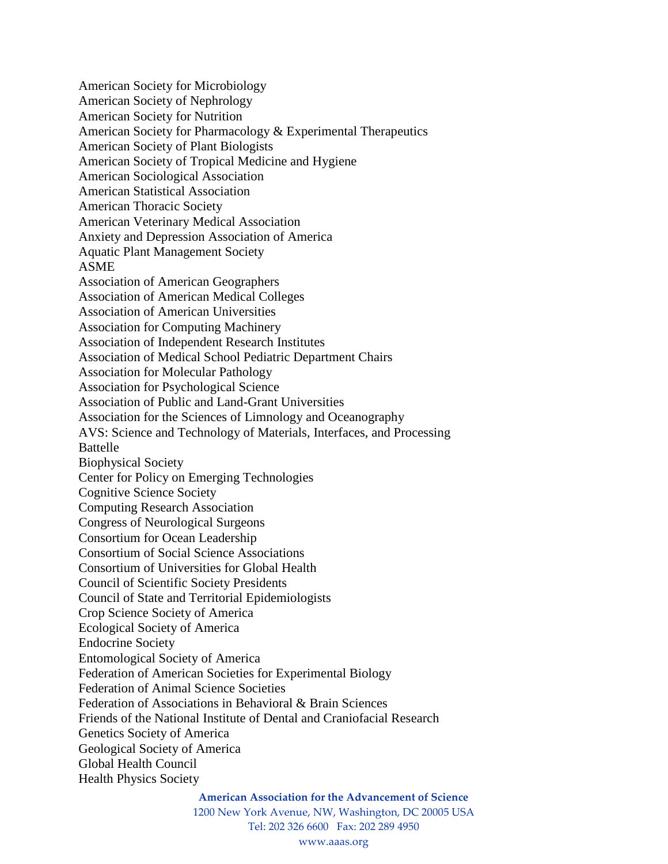American Society for Microbiology American Society of Nephrology American Society for Nutrition American Society for Pharmacology & Experimental Therapeutics American Society of Plant Biologists American Society of Tropical Medicine and Hygiene American Sociological Association American Statistical Association American Thoracic Society American Veterinary Medical Association Anxiety and Depression Association of America Aquatic Plant Management Society ASME Association of American Geographers Association of American Medical Colleges Association of American Universities Association for Computing Machinery Association of Independent Research Institutes Association of Medical School Pediatric Department Chairs Association for Molecular Pathology Association for Psychological Science Association of Public and Land-Grant Universities Association for the Sciences of Limnology and Oceanography AVS: Science and Technology of Materials, Interfaces, and Processing Battelle Biophysical Society Center for Policy on Emerging Technologies Cognitive Science Society Computing Research Association Congress of Neurological Surgeons Consortium for Ocean Leadership Consortium of Social Science Associations Consortium of Universities for Global Health Council of Scientific Society Presidents Council of State and Territorial Epidemiologists Crop Science Society of America Ecological Society of America Endocrine Society Entomological Society of America Federation of American Societies for Experimental Biology Federation of Animal Science Societies Federation of Associations in Behavioral & Brain Sciences Friends of the National Institute of Dental and Craniofacial Research Genetics Society of America Geological Society of America Global Health Council Health Physics Society

**American Association for the Advancement of Science**

1200 New York Avenue, NW, Washington, DC 20005 USA Tel: 202 326 6600 Fax: 202 289 4950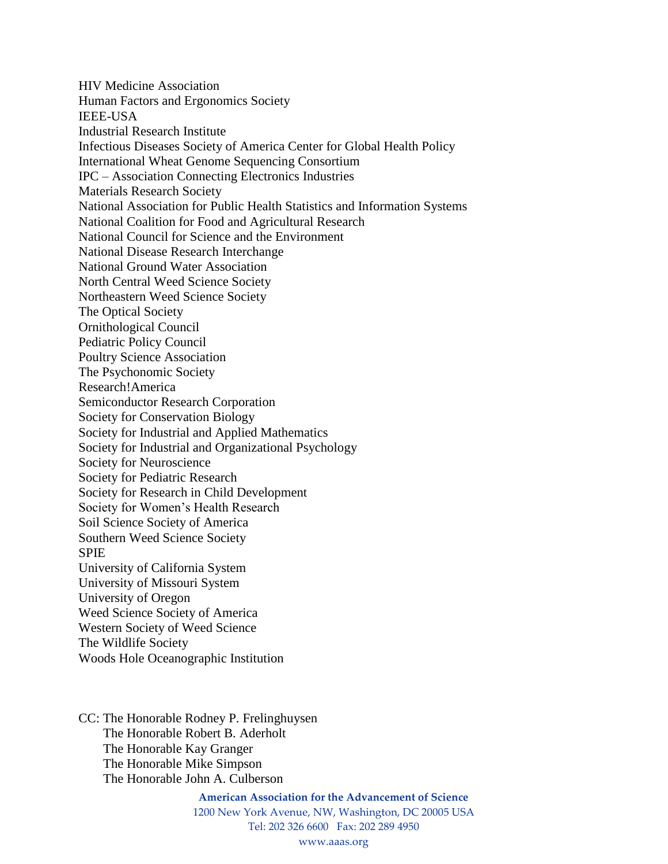HIV Medicine Association Human Factors and Ergonomics Society IEEE-USA Industrial Research Institute Infectious Diseases Society of America Center for Global Health Policy International Wheat Genome Sequencing Consortium IPC – Association Connecting Electronics Industries Materials Research Society National Association for Public Health Statistics and Information Systems National Coalition for Food and Agricultural Research National Council for Science and the Environment National Disease Research Interchange National Ground Water Association North Central Weed Science Society Northeastern Weed Science Society The Optical Society Ornithological Council Pediatric Policy Council Poultry Science Association The Psychonomic Society Research!America Semiconductor Research Corporation Society for Conservation Biology Society for Industrial and Applied Mathematics Society for Industrial and Organizational Psychology Society for Neuroscience Society for Pediatric Research Society for Research in Child Development Society for Women's Health Research Soil Science Society of America Southern Weed Science Society SPIE University of California System University of Missouri System University of Oregon Weed Science Society of America Western Society of Weed Science The Wildlife Society Woods Hole Oceanographic Institution

CC: The Honorable Rodney P. Frelinghuysen The Honorable Robert B. Aderholt The Honorable Kay Granger The Honorable Mike Simpson The Honorable John A. Culberson

> **American Association for the Advancement of Science** 1200 New York Avenue, NW, Washington, DC 20005 USA Tel: 202 326 6600 Fax: 202 289 4950